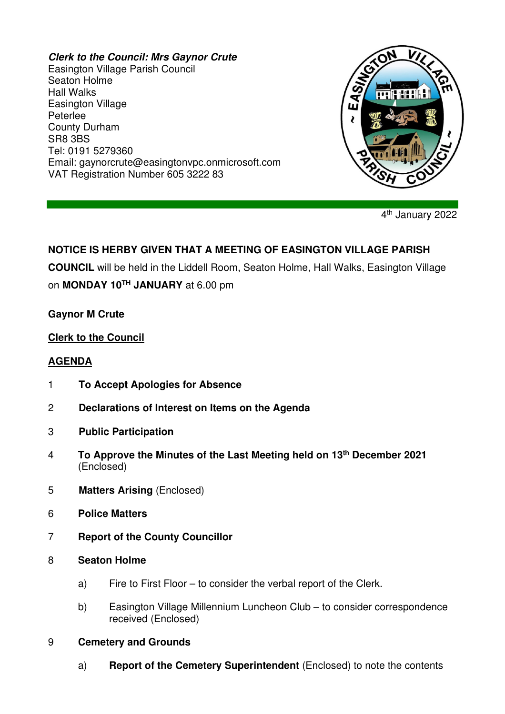#### **Clerk to the Council: Mrs Gaynor Crute**

Easington Village Parish Council Seaton Holme Hall Walks Easington Village Peterlee County Durham SR8 3BS Tel: 0191 5279360 Email: gaynorcrute@easingtonvpc.onmicrosoft.com VAT Registration Number 605 3222 83



4<sup>th</sup> January 2022

# **NOTICE IS HERBY GIVEN THAT A MEETING OF EASINGTON VILLAGE PARISH**

**COUNCIL** will be held in the Liddell Room, Seaton Holme, Hall Walks, Easington Village on **MONDAY 10TH JANUARY** at 6.00 pm

### **Gaynor M Crute**

### **Clerk to the Council**

### **AGENDA**

- 1 **To Accept Apologies for Absence**
- 2 **Declarations of Interest on Items on the Agenda**
- 3 **Public Participation**
- 4 **To Approve the Minutes of the Last Meeting held on 13th December 2021** (Enclosed)
- 5 **Matters Arising** (Enclosed)
- 6 **Police Matters**
- 7 **Report of the County Councillor**
- 8 **Seaton Holme** 
	- a) Fire to First Floor to consider the verbal report of the Clerk.
	- b) Easington Village Millennium Luncheon Club to consider correspondence received (Enclosed)
- 9 **Cemetery and Grounds**
	- a) **Report of the Cemetery Superintendent** (Enclosed) to note the contents